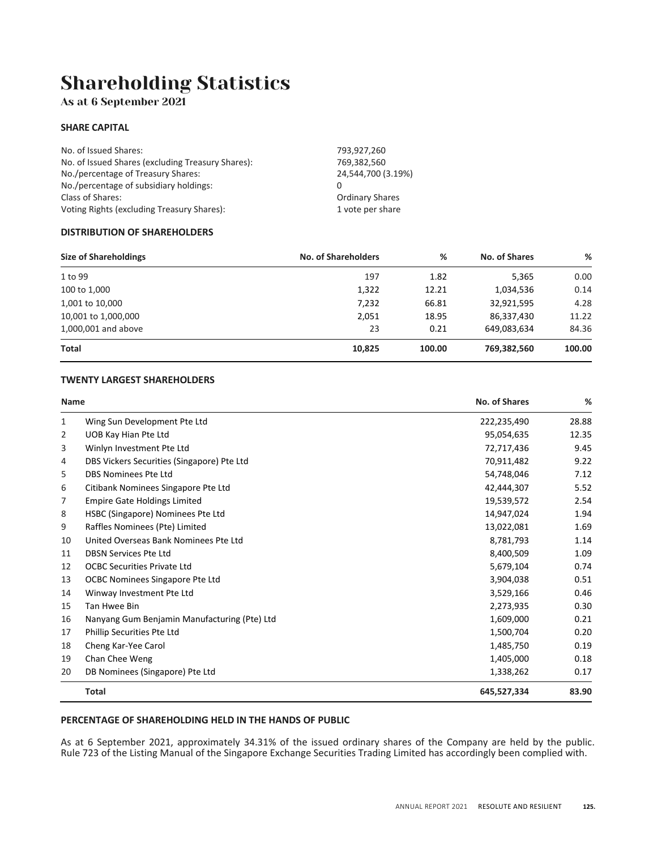## Shareholding Statistics

As at 6 September 2021

#### **SHARE CAPITAL**

| No. of Issued Shares:                             | 793,927,260            |
|---------------------------------------------------|------------------------|
| No. of Issued Shares (excluding Treasury Shares): | 769,382,560            |
| No./percentage of Treasury Shares:                | 24.544.700 (3.19%)     |
| No./percentage of subsidiary holdings:            |                        |
| Class of Shares:                                  | <b>Ordinary Shares</b> |
| Voting Rights (excluding Treasury Shares):        | 1 vote per share       |

#### **DISTRIBUTION OF SHAREHOLDERS**

| <b>Size of Shareholdings</b> | <b>No. of Shareholders</b> | %      | No. of Shares | %      |
|------------------------------|----------------------------|--------|---------------|--------|
| 1 to 99                      | 197                        | 1.82   | 5,365         | 0.00   |
| 100 to 1,000                 | 1,322                      | 12.21  | 1,034,536     | 0.14   |
| 1,001 to 10,000              | 7,232                      | 66.81  | 32,921,595    | 4.28   |
| 10,001 to 1,000,000          | 2,051                      | 18.95  | 86,337,430    | 11.22  |
| 1,000,001 and above          | 23                         | 0.21   | 649,083,634   | 84.36  |
| <b>Total</b>                 | 10,825                     | 100.00 | 769,382,560   | 100.00 |

#### **TWENTY LARGEST SHAREHOLDERS**

| Name         |                                              | No. of Shares | %     |
|--------------|----------------------------------------------|---------------|-------|
| $\mathbf{1}$ | Wing Sun Development Pte Ltd                 | 222,235,490   | 28.88 |
| 2            | UOB Kay Hian Pte Ltd                         | 95,054,635    | 12.35 |
| 3            | Winlyn Investment Pte Ltd                    | 72,717,436    | 9.45  |
| 4            | DBS Vickers Securities (Singapore) Pte Ltd   | 70,911,482    | 9.22  |
| 5            | <b>DBS Nominees Pte Ltd</b>                  | 54,748,046    | 7.12  |
| 6            | Citibank Nominees Singapore Pte Ltd          | 42,444,307    | 5.52  |
| 7            | <b>Empire Gate Holdings Limited</b>          | 19,539,572    | 2.54  |
| 8            | HSBC (Singapore) Nominees Pte Ltd            | 14,947,024    | 1.94  |
| 9            | Raffles Nominees (Pte) Limited               | 13,022,081    | 1.69  |
| 10           | United Overseas Bank Nominees Pte Ltd        | 8,781,793     | 1.14  |
| 11           | <b>DBSN Services Pte Ltd</b>                 | 8,400,509     | 1.09  |
| 12           | <b>OCBC Securities Private Ltd</b>           | 5,679,104     | 0.74  |
| 13           | OCBC Nominees Singapore Pte Ltd              | 3,904,038     | 0.51  |
| 14           | Winway Investment Pte Ltd                    | 3,529,166     | 0.46  |
| 15           | Tan Hwee Bin                                 | 2,273,935     | 0.30  |
| 16           | Nanyang Gum Benjamin Manufacturing (Pte) Ltd | 1,609,000     | 0.21  |
| 17           | <b>Phillip Securities Pte Ltd</b>            | 1,500,704     | 0.20  |
| 18           | Cheng Kar-Yee Carol                          | 1,485,750     | 0.19  |
| 19           | Chan Chee Weng                               | 1,405,000     | 0.18  |
| 20           | DB Nominees (Singapore) Pte Ltd              | 1,338,262     | 0.17  |
|              | <b>Total</b>                                 | 645,527,334   | 83.90 |

#### **PERCENTAGE OF SHAREHOLDING HELD IN THE HANDS OF PUBLIC**

As at 6 September 2021, approximately 34.31% of the issued ordinary shares of the Company are held by the public. Rule 723 of the Listing Manual of the Singapore Exchange Securities Trading Limited has accordingly been complied with.